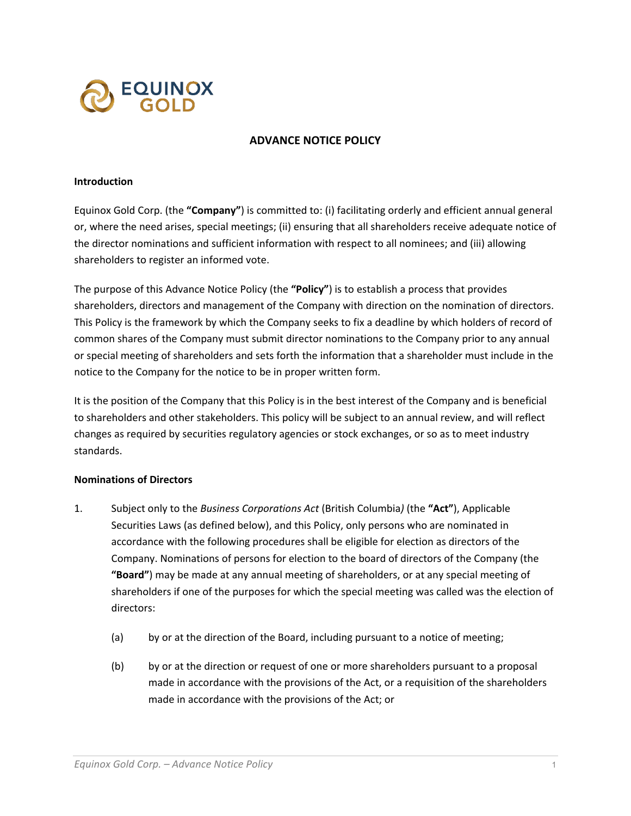

## **ADVANCE NOTICE POLICY**

## **Introduction**

Equinox Gold Corp. (the **"Company"**) is committed to: (i) facilitating orderly and efficient annual general or, where the need arises, special meetings; (ii) ensuring that all shareholders receive adequate notice of the director nominations and sufficient information with respect to all nominees; and (iii) allowing shareholders to register an informed vote.

The purpose of this Advance Notice Policy (the **"Policy"**) is to establish a process that provides shareholders, directors and management of the Company with direction on the nomination of directors. This Policy is the framework by which the Company seeks to fix a deadline by which holders of record of common shares of the Company must submit director nominations to the Company prior to any annual or special meeting of shareholders and sets forth the information that a shareholder must include in the notice to the Company for the notice to be in proper written form.

It is the position of the Company that this Policy is in the best interest of the Company and is beneficial to shareholders and other stakeholders. This policy will be subject to an annual review, and will reflect changes as required by securities regulatory agencies or stock exchanges, or so as to meet industry standards.

## **Nominations of Directors**

- 1. Subject only to the *Business Corporations Act* (British Columbia*)* (the **"Act"**), Applicable Securities Laws (as defined below), and this Policy, only persons who are nominated in accordance with the following procedures shall be eligible for election as directors of the Company. Nominations of persons for election to the board of directors of the Company (the **"Board"**) may be made at any annual meeting of shareholders, or at any special meeting of shareholders if one of the purposes for which the special meeting was called was the election of directors:
	- (a) by or at the direction of the Board, including pursuant to a notice of meeting;
	- (b) by or at the direction or request of one or more shareholders pursuant to a proposal made in accordance with the provisions of the Act, or a requisition of the shareholders made in accordance with the provisions of the Act; or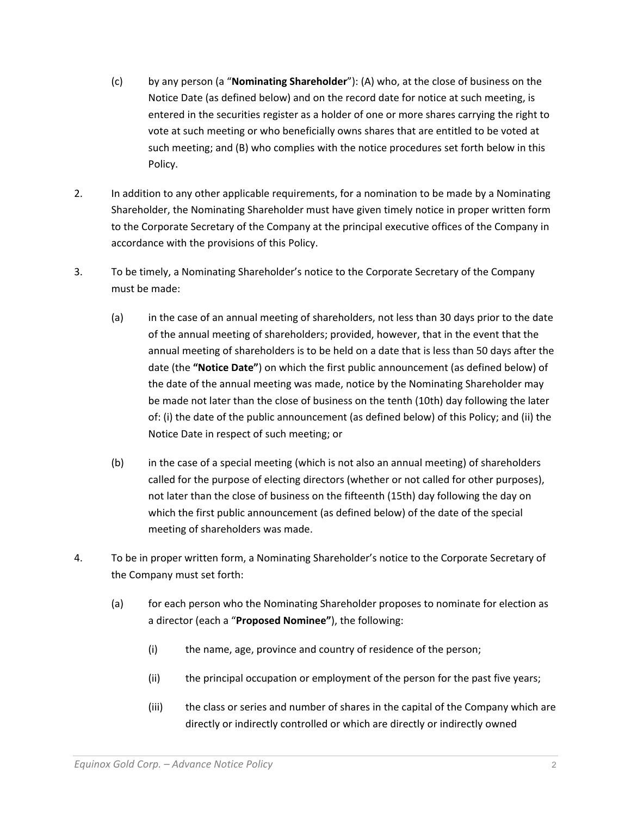- (c) by any person (a "**Nominating Shareholder**"): (A) who, at the close of business on the Notice Date (as defined below) and on the record date for notice at such meeting, is entered in the securities register as a holder of one or more shares carrying the right to vote at such meeting or who beneficially owns shares that are entitled to be voted at such meeting; and (B) who complies with the notice procedures set forth below in this Policy.
- 2. In addition to any other applicable requirements, for a nomination to be made by a Nominating Shareholder, the Nominating Shareholder must have given timely notice in proper written form to the Corporate Secretary of the Company at the principal executive offices of the Company in accordance with the provisions of this Policy.
- 3. To be timely, a Nominating Shareholder's notice to the Corporate Secretary of the Company must be made:
	- (a) in the case of an annual meeting of shareholders, not less than 30 days prior to the date of the annual meeting of shareholders; provided, however, that in the event that the annual meeting of shareholders is to be held on a date that is less than 50 days after the date (the **"Notice Date"**) on which the first public announcement (as defined below) of the date of the annual meeting was made, notice by the Nominating Shareholder may be made not later than the close of business on the tenth (10th) day following the later of: (i) the date of the public announcement (as defined below) of this Policy; and (ii) the Notice Date in respect of such meeting; or
	- (b) in the case of a special meeting (which is not also an annual meeting) of shareholders called for the purpose of electing directors (whether or not called for other purposes), not later than the close of business on the fifteenth (15th) day following the day on which the first public announcement (as defined below) of the date of the special meeting of shareholders was made.
- 4. To be in proper written form, a Nominating Shareholder's notice to the Corporate Secretary of the Company must set forth:
	- (a) for each person who the Nominating Shareholder proposes to nominate for election as a director (each a "**Proposed Nominee"**), the following:
		- (i) the name, age, province and country of residence of the person;
		- (ii) the principal occupation or employment of the person for the past five years;
		- (iii) the class or series and number of shares in the capital of the Company which are directly or indirectly controlled or which are directly or indirectly owned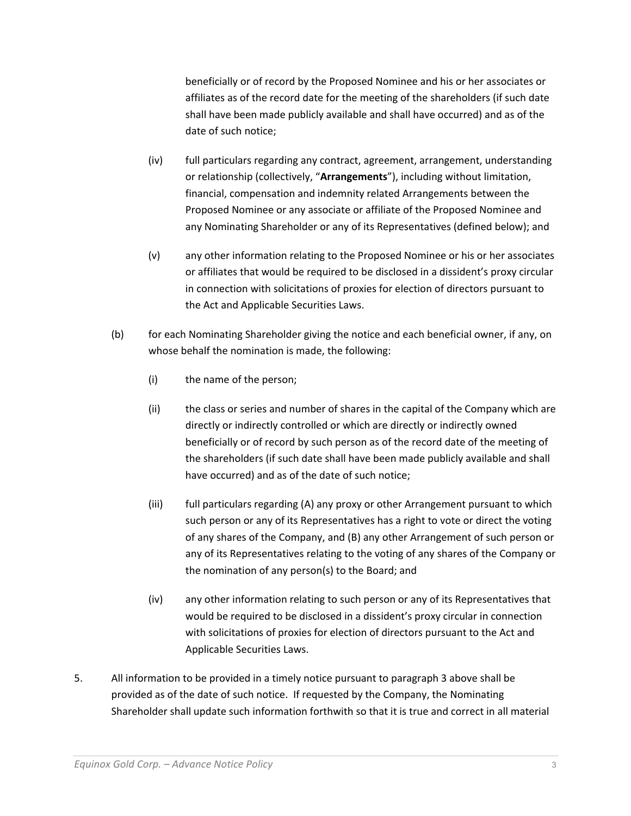beneficially or of record by the Proposed Nominee and his or her associates or affiliates as of the record date for the meeting of the shareholders (if such date shall have been made publicly available and shall have occurred) and as of the date of such notice;

- (iv) full particulars regarding any contract, agreement, arrangement, understanding or relationship (collectively, "**Arrangements**"), including without limitation, financial, compensation and indemnity related Arrangements between the Proposed Nominee or any associate or affiliate of the Proposed Nominee and any Nominating Shareholder or any of its Representatives (defined below); and
- (v) any other information relating to the Proposed Nominee or his or her associates or affiliates that would be required to be disclosed in a dissident's proxy circular in connection with solicitations of proxies for election of directors pursuant to the Act and Applicable Securities Laws.
- (b) for each Nominating Shareholder giving the notice and each beneficial owner, if any, on whose behalf the nomination is made, the following:
	- (i) the name of the person;
	- (ii) the class or series and number of shares in the capital of the Company which are directly or indirectly controlled or which are directly or indirectly owned beneficially or of record by such person as of the record date of the meeting of the shareholders (if such date shall have been made publicly available and shall have occurred) and as of the date of such notice;
	- (iii) full particulars regarding (A) any proxy or other Arrangement pursuant to which such person or any of its Representatives has a right to vote or direct the voting of any shares of the Company, and (B) any other Arrangement of such person or any of its Representatives relating to the voting of any shares of the Company or the nomination of any person(s) to the Board; and
	- (iv) any other information relating to such person or any of its Representatives that would be required to be disclosed in a dissident's proxy circular in connection with solicitations of proxies for election of directors pursuant to the Act and Applicable Securities Laws.
- 5. All information to be provided in a timely notice pursuant to paragraph 3 above shall be provided as of the date of such notice. If requested by the Company, the Nominating Shareholder shall update such information forthwith so that it is true and correct in all material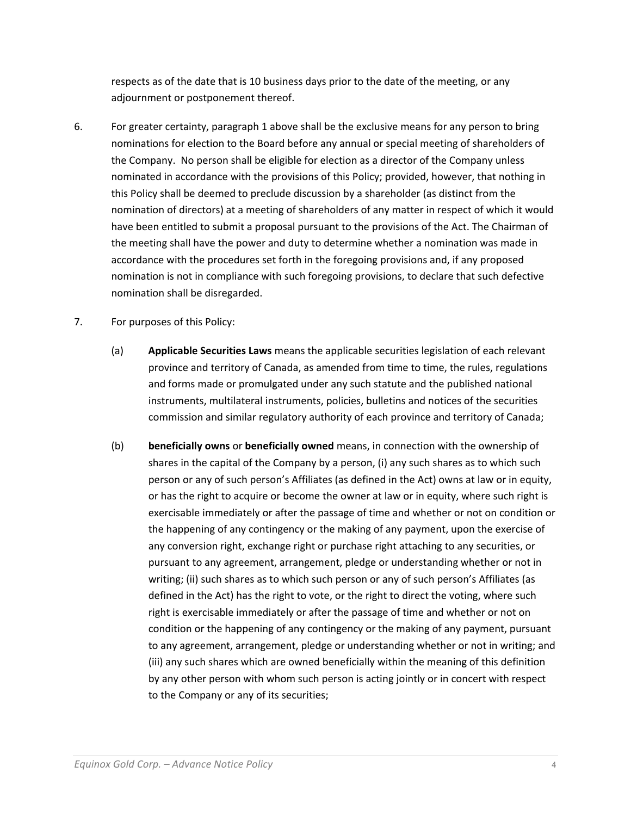respects as of the date that is 10 business days prior to the date of the meeting, or any adjournment or postponement thereof.

- 6. For greater certainty, paragraph 1 above shall be the exclusive means for any person to bring nominations for election to the Board before any annual or special meeting of shareholders of the Company. No person shall be eligible for election as a director of the Company unless nominated in accordance with the provisions of this Policy; provided, however, that nothing in this Policy shall be deemed to preclude discussion by a shareholder (as distinct from the nomination of directors) at a meeting of shareholders of any matter in respect of which it would have been entitled to submit a proposal pursuant to the provisions of the Act. The Chairman of the meeting shall have the power and duty to determine whether a nomination was made in accordance with the procedures set forth in the foregoing provisions and, if any proposed nomination is not in compliance with such foregoing provisions, to declare that such defective nomination shall be disregarded.
- 7. For purposes of this Policy:
	- (a) **Applicable Securities Laws** means the applicable securities legislation of each relevant province and territory of Canada, as amended from time to time, the rules, regulations and forms made or promulgated under any such statute and the published national instruments, multilateral instruments, policies, bulletins and notices of the securities commission and similar regulatory authority of each province and territory of Canada;
	- (b) **beneficially owns** or **beneficially owned** means, in connection with the ownership of shares in the capital of the Company by a person, (i) any such shares as to which such person or any of such person's Affiliates (as defined in the Act) owns at law or in equity, or has the right to acquire or become the owner at law or in equity, where such right is exercisable immediately or after the passage of time and whether or not on condition or the happening of any contingency or the making of any payment, upon the exercise of any conversion right, exchange right or purchase right attaching to any securities, or pursuant to any agreement, arrangement, pledge or understanding whether or not in writing; (ii) such shares as to which such person or any of such person's Affiliates (as defined in the Act) has the right to vote, or the right to direct the voting, where such right is exercisable immediately or after the passage of time and whether or not on condition or the happening of any contingency or the making of any payment, pursuant to any agreement, arrangement, pledge or understanding whether or not in writing; and (iii) any such shares which are owned beneficially within the meaning of this definition by any other person with whom such person is acting jointly or in concert with respect to the Company or any of its securities;